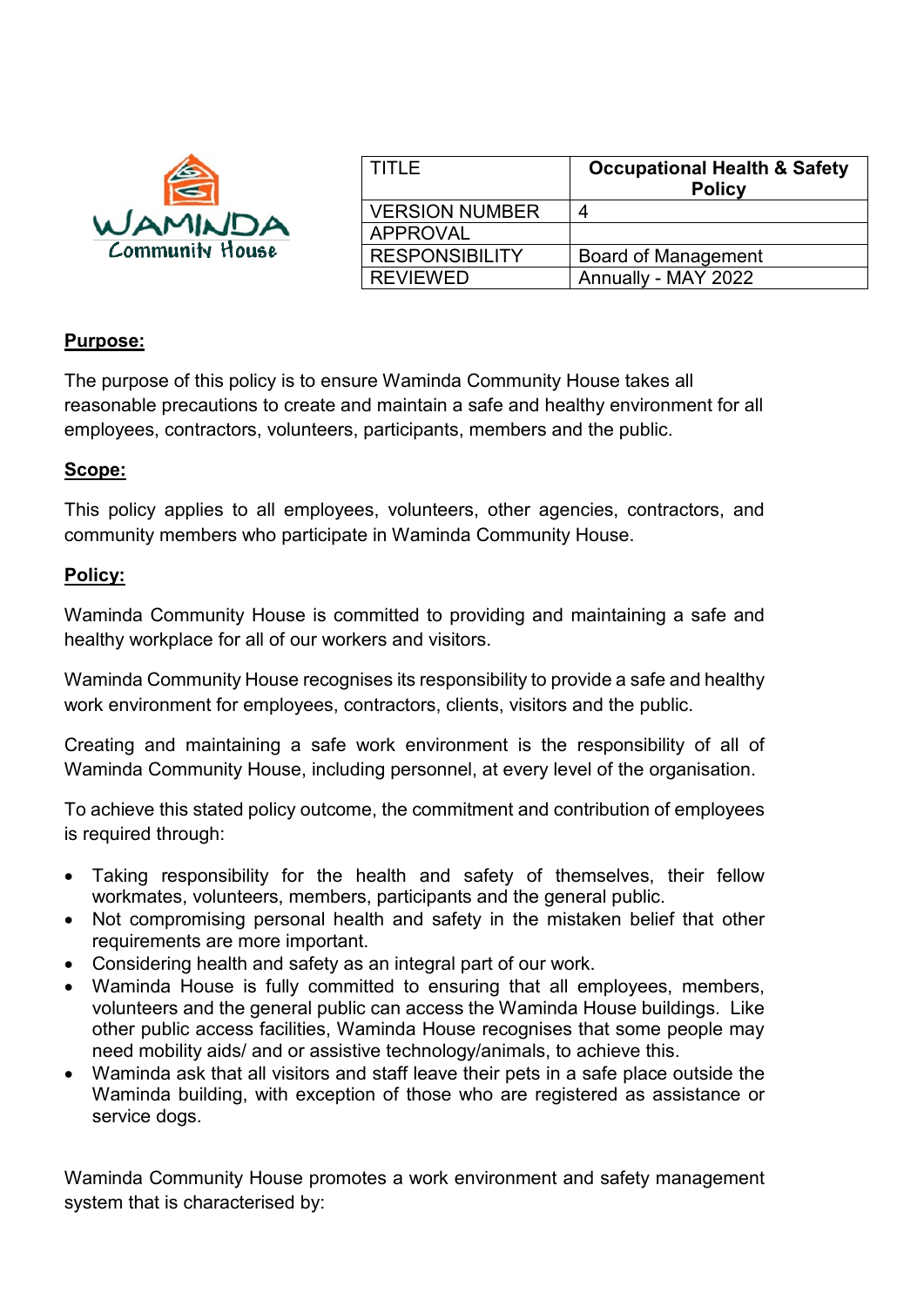

| l TITLE               | <b>Occupational Health &amp; Safety</b><br><b>Policy</b> |
|-----------------------|----------------------------------------------------------|
| <b>VERSION NUMBER</b> | 4                                                        |
| APPROVAL              |                                                          |
| <b>RESPONSIBILITY</b> | <b>Board of Management</b>                               |
| <b>REVIEWED</b>       | Annually - MAY 2022                                      |

## **Purpose:**

The purpose of this policy is to ensure Waminda Community House takes all reasonable precautions to create and maintain a safe and healthy environment for all employees, contractors, volunteers, participants, members and the public.

## **Scope:**

This policy applies to all employees, volunteers, other agencies, contractors, and community members who participate in Waminda Community House.

## **Policy:**

Waminda Community House is committed to providing and maintaining a safe and healthy workplace for all of our workers and visitors.

Waminda Community House recognises its responsibility to provide a safe and healthy work environment for employees, contractors, clients, visitors and the public.

Creating and maintaining a safe work environment is the responsibility of all of Waminda Community House, including personnel, at every level of the organisation.

To achieve this stated policy outcome, the commitment and contribution of employees is required through:

- Taking responsibility for the health and safety of themselves, their fellow workmates, volunteers, members, participants and the general public.
- Not compromising personal health and safety in the mistaken belief that other requirements are more important.
- Considering health and safety as an integral part of our work.
- Waminda House is fully committed to ensuring that all employees, members, volunteers and the general public can access the Waminda House buildings. Like other public access facilities, Waminda House recognises that some people may need mobility aids/ and or assistive technology/animals, to achieve this.
- Waminda ask that all visitors and staff leave their pets in a safe place outside the Waminda building, with exception of those who are registered as assistance or service dogs.

Waminda Community House promotes a work environment and safety management system that is characterised by: